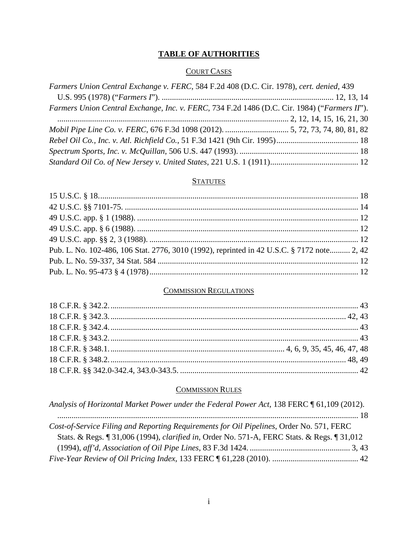# **TABLE OF AUTHORITIES**

### **COURT CASES**

| Farmers Union Central Exchange v. FERC, 584 F.2d 408 (D.C. Cir. 1978), cert. denied, 439     |  |
|----------------------------------------------------------------------------------------------|--|
|                                                                                              |  |
| Farmers Union Central Exchange, Inc. v. FERC, 734 F.2d 1486 (D.C. Cir. 1984) ("Farmers II"). |  |
|                                                                                              |  |
|                                                                                              |  |
|                                                                                              |  |
|                                                                                              |  |
|                                                                                              |  |

## **STATUTES**

| Pub. L. No. 102-486, 106 Stat. 2776, 3010 (1992), reprinted in 42 U.S.C. § 7172 note 2, 42 |  |
|--------------------------------------------------------------------------------------------|--|
|                                                                                            |  |
|                                                                                            |  |

### **COMMISSION REGULATIONS**

#### **COMMISSION RULES**

| Analysis of Horizontal Market Power under the Federal Power Act, 138 FERC [61,109 (2012).           |  |
|-----------------------------------------------------------------------------------------------------|--|
|                                                                                                     |  |
| Cost-of-Service Filing and Reporting Requirements for Oil Pipelines, Order No. 571, FERC            |  |
| Stats. & Regs. ¶ 31,006 (1994), <i>clarified in</i> , Order No. 571-A, FERC Stats. & Regs. ¶ 31,012 |  |
|                                                                                                     |  |
|                                                                                                     |  |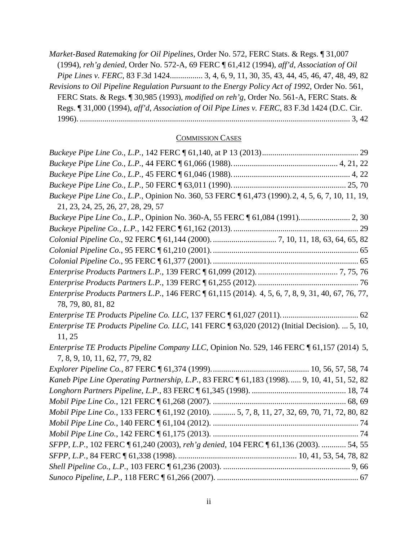*Market-Based Ratemaking for Oil Pipelines*, Order No. 572, FERC Stats. & Regs. ¶ 31,007 (1994), *reh'g denied*, Order No. 572-A, 69 FERC ¶ 61,412 (1994), *aff'd*, *Association of Oil Pipe Lines v. FERC*, 83 F.3d 1424................ 3, 4, 6, 9, 11, 30, 35, 43, 44, 45, 46, 47, 48, 49, 82 *Revisions to Oil Pipeline Regulation Pursuant to the Energy Policy Act of 1992*, Order No. 561, FERC Stats. & Regs. ¶ 30,985 (1993), *modified on reh'g*, Order No. 561-A, FERC Stats. & Regs. ¶ 31,000 (1994), *aff'd*, *Association of Oil Pipe Lines v. FERC*, 83 F.3d 1424 (D.C. Cir. 1996). .................................................................................................................................... 3, 42

#### COMMISSION CASES

| Buckeye Pipe Line Co., L.P., Opinion No. 360, 53 FERC 161, 473 (1990). 2, 4, 5, 6, 7, 10, 11, 19,                           |  |
|-----------------------------------------------------------------------------------------------------------------------------|--|
| 21, 23, 24, 25, 26, 27, 28, 29, 57                                                                                          |  |
| Buckeye Pipe Line Co., L.P., Opinion No. 360-A, 55 FERC [61,084 (1991) 2, 30                                                |  |
|                                                                                                                             |  |
|                                                                                                                             |  |
|                                                                                                                             |  |
|                                                                                                                             |  |
|                                                                                                                             |  |
|                                                                                                                             |  |
| Enterprise Products Partners L.P., 146 FERC 161,115 (2014). 4, 5, 6, 7, 8, 9, 31, 40, 67, 76, 77,<br>78, 79, 80, 81, 82     |  |
|                                                                                                                             |  |
| Enterprise TE Products Pipeline Co. LLC, 141 FERC ¶ 63,020 (2012) (Initial Decision).  5, 10,                               |  |
| 11, 25                                                                                                                      |  |
| Enterprise TE Products Pipeline Company LLC, Opinion No. 529, 146 FERC [61,157 (2014) 5,<br>7, 8, 9, 10, 11, 62, 77, 79, 82 |  |
|                                                                                                                             |  |
| Kaneb Pipe Line Operating Partnership, L.P., 83 FERC 161,183 (1998) 9, 10, 41, 51, 52, 82                                   |  |
|                                                                                                                             |  |
|                                                                                                                             |  |
| Mobil Pipe Line Co., 133 FERC 161,192 (2010).  5, 7, 8, 11, 27, 32, 69, 70, 71, 72, 80, 82                                  |  |
|                                                                                                                             |  |
|                                                                                                                             |  |
| SFPP, L.P., 102 FERC 1 61,240 (2003), reh'g denied, 104 FERC 1 61,136 (2003).  54, 55                                       |  |
|                                                                                                                             |  |
|                                                                                                                             |  |
|                                                                                                                             |  |
|                                                                                                                             |  |